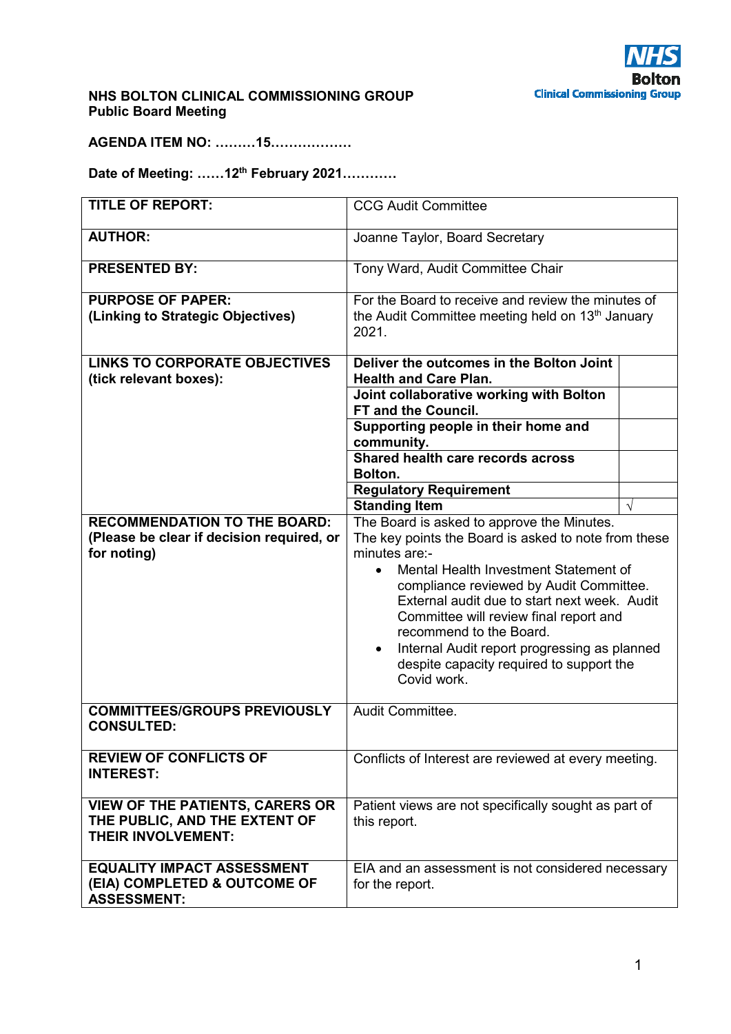

## **NHS BOLTON CLINICAL COMMISSIONING GROUP Public Board Meeting**

**AGENDA ITEM NO: ………15………………** 

**Date of Meeting: ……12th February 2021…………** 

| <b>TITLE OF REPORT:</b>                                                                         | <b>CCG Audit Committee</b>                                                                                                                                                                                                                                                                                                                                                                                                              |            |
|-------------------------------------------------------------------------------------------------|-----------------------------------------------------------------------------------------------------------------------------------------------------------------------------------------------------------------------------------------------------------------------------------------------------------------------------------------------------------------------------------------------------------------------------------------|------------|
| <b>AUTHOR:</b>                                                                                  | Joanne Taylor, Board Secretary                                                                                                                                                                                                                                                                                                                                                                                                          |            |
| <b>PRESENTED BY:</b>                                                                            | Tony Ward, Audit Committee Chair                                                                                                                                                                                                                                                                                                                                                                                                        |            |
| <b>PURPOSE OF PAPER:</b><br>(Linking to Strategic Objectives)                                   | For the Board to receive and review the minutes of<br>the Audit Committee meeting held on 13 <sup>th</sup> January<br>2021.                                                                                                                                                                                                                                                                                                             |            |
| <b>LINKS TO CORPORATE OBJECTIVES</b><br>(tick relevant boxes):                                  | Deliver the outcomes in the Bolton Joint<br><b>Health and Care Plan.</b>                                                                                                                                                                                                                                                                                                                                                                |            |
|                                                                                                 | Joint collaborative working with Bolton<br>FT and the Council.                                                                                                                                                                                                                                                                                                                                                                          |            |
|                                                                                                 | Supporting people in their home and<br>community.                                                                                                                                                                                                                                                                                                                                                                                       |            |
|                                                                                                 | Shared health care records across<br>Bolton.                                                                                                                                                                                                                                                                                                                                                                                            |            |
|                                                                                                 | <b>Regulatory Requirement</b>                                                                                                                                                                                                                                                                                                                                                                                                           |            |
|                                                                                                 | <b>Standing Item</b>                                                                                                                                                                                                                                                                                                                                                                                                                    | $\sqrt{ }$ |
| <b>RECOMMENDATION TO THE BOARD:</b><br>(Please be clear if decision required, or<br>for noting) | The Board is asked to approve the Minutes.<br>The key points the Board is asked to note from these<br>minutes are:-<br>Mental Health Investment Statement of<br>compliance reviewed by Audit Committee.<br>External audit due to start next week. Audit<br>Committee will review final report and<br>recommend to the Board.<br>Internal Audit report progressing as planned<br>despite capacity required to support the<br>Covid work. |            |
| <b>COMMITTEES/GROUPS PREVIOUSLY</b><br><b>CONSULTED:</b>                                        | Audit Committee.                                                                                                                                                                                                                                                                                                                                                                                                                        |            |
| <b>REVIEW OF CONFLICTS OF</b><br><b>INTEREST:</b>                                               | Conflicts of Interest are reviewed at every meeting.                                                                                                                                                                                                                                                                                                                                                                                    |            |
| <b>VIEW OF THE PATIENTS, CARERS OR</b><br>THE PUBLIC, AND THE EXTENT OF<br>THEIR INVOLVEMENT:   | Patient views are not specifically sought as part of<br>this report.                                                                                                                                                                                                                                                                                                                                                                    |            |
| <b>EQUALITY IMPACT ASSESSMENT</b><br>(EIA) COMPLETED & OUTCOME OF<br><b>ASSESSMENT:</b>         | EIA and an assessment is not considered necessary<br>for the report.                                                                                                                                                                                                                                                                                                                                                                    |            |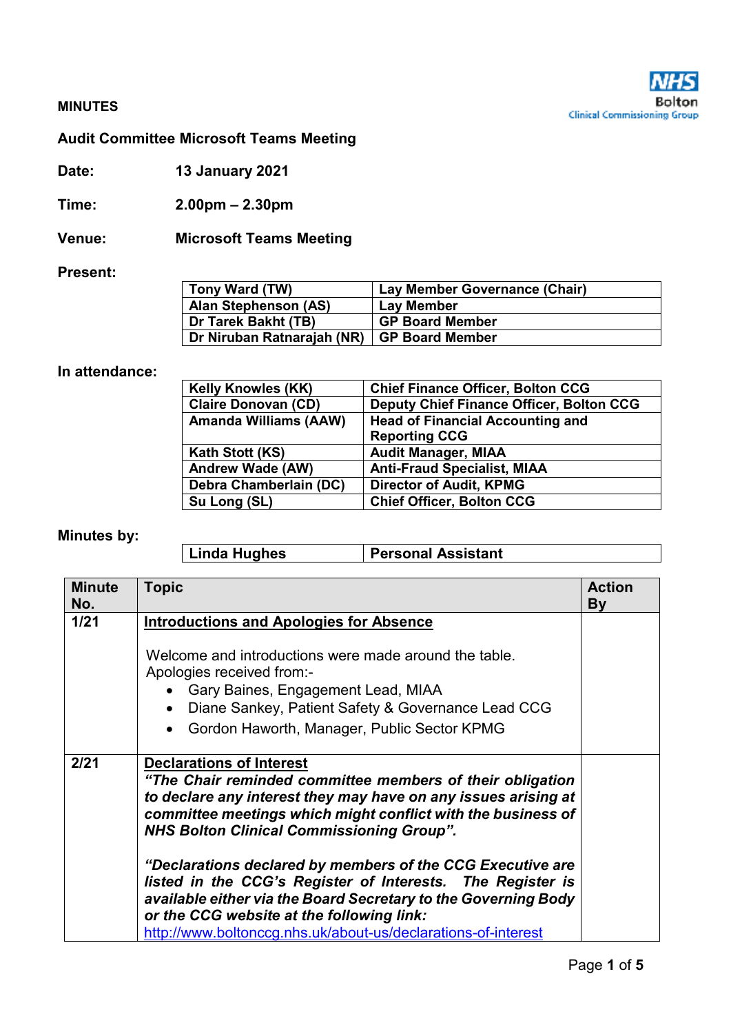

## **MINUTES**

# **Audit Committee Microsoft Teams Meeting**

**Date: 13 January 2021** 

**Time: 2.00pm – 2.30pm**

**Venue: Microsoft Teams Meeting** 

#### **Present:**

| Tony Ward (TW)              | Lay Member Governance (Chair) |
|-----------------------------|-------------------------------|
| <b>Alan Stephenson (AS)</b> | <b>Lay Member</b>             |
| Dr Tarek Bakht (TB)         | <b>GP Board Member</b>        |
| Dr Niruban Ratnarajah (NR)  | <b>GP Board Member</b>        |

#### **In attendance:**

| <b>Kelly Knowles (KK)</b>    | <b>Chief Finance Officer, Bolton CCG</b> |
|------------------------------|------------------------------------------|
| <b>Claire Donovan (CD)</b>   | Deputy Chief Finance Officer, Bolton CCG |
| <b>Amanda Williams (AAW)</b> | <b>Head of Financial Accounting and</b>  |
|                              | <b>Reporting CCG</b>                     |
| Kath Stott (KS)              | <b>Audit Manager, MIAA</b>               |
| <b>Andrew Wade (AW)</b>      | <b>Anti-Fraud Specialist, MIAA</b>       |
| Debra Chamberlain (DC)       | <b>Director of Audit, KPMG</b>           |
| Su Long (SL)                 | <b>Chief Officer, Bolton CCG</b>         |

# **Minutes by:**

| Linda Hughes | <b>Personal Assistant</b> |
|--------------|---------------------------|

| <b>Minute</b><br>No. | <b>Topic</b>                                                                                                                                                                                                                                                                                                                                                                                                                                                                                                                                                                                   | <b>Action</b><br>By |
|----------------------|------------------------------------------------------------------------------------------------------------------------------------------------------------------------------------------------------------------------------------------------------------------------------------------------------------------------------------------------------------------------------------------------------------------------------------------------------------------------------------------------------------------------------------------------------------------------------------------------|---------------------|
| 1/21                 | <b>Introductions and Apologies for Absence</b><br>Welcome and introductions were made around the table.<br>Apologies received from:-<br>• Gary Baines, Engagement Lead, MIAA<br>Diane Sankey, Patient Safety & Governance Lead CCG<br>Gordon Haworth, Manager, Public Sector KPMG                                                                                                                                                                                                                                                                                                              |                     |
| 2/21                 | <b>Declarations of Interest</b><br>"The Chair reminded committee members of their obligation<br>to declare any interest they may have on any issues arising at<br>committee meetings which might conflict with the business of<br><b>NHS Bolton Clinical Commissioning Group".</b><br>"Declarations declared by members of the CCG Executive are<br>listed in the CCG's Register of Interests. The Register is<br>available either via the Board Secretary to the Governing Body<br>or the CCG website at the following link:<br>http://www.boltonccg.nhs.uk/about-us/declarations-of-interest |                     |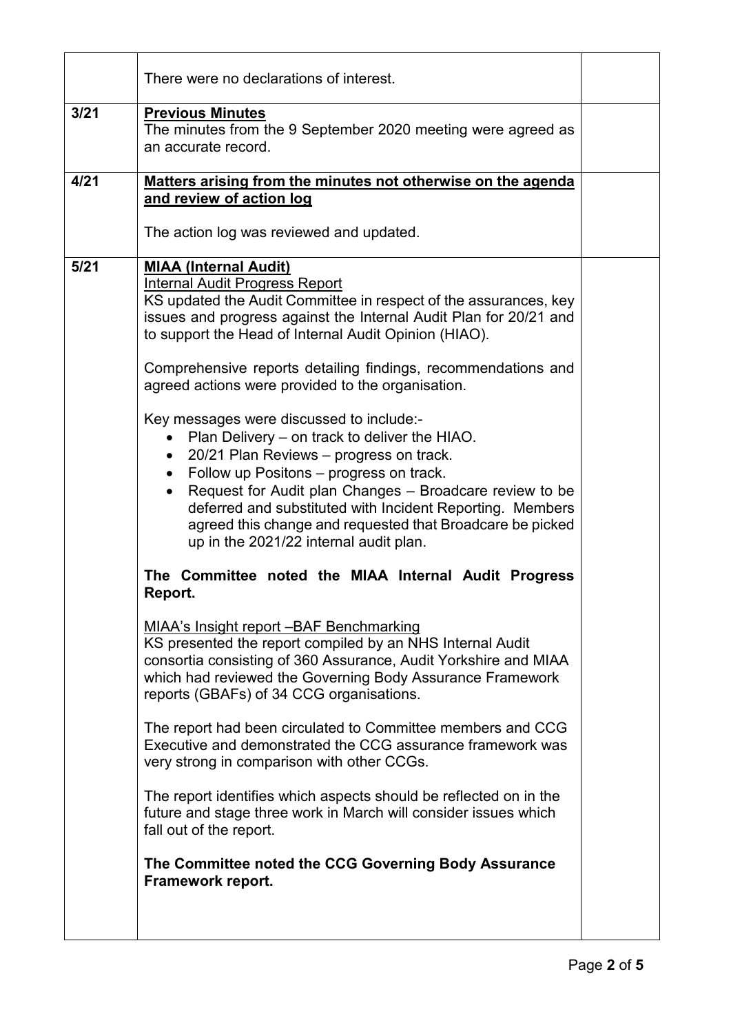|      | There were no declarations of interest.                                                                                                                                                                                                                                                                                                                                                                                                                                                                                                                                                                                                                                                                                                                                                                                                                                                                                                                                                                                                                                                                                                                                                                                                                                                                                                                                                                                                                                                                                                                                                                                   |  |
|------|---------------------------------------------------------------------------------------------------------------------------------------------------------------------------------------------------------------------------------------------------------------------------------------------------------------------------------------------------------------------------------------------------------------------------------------------------------------------------------------------------------------------------------------------------------------------------------------------------------------------------------------------------------------------------------------------------------------------------------------------------------------------------------------------------------------------------------------------------------------------------------------------------------------------------------------------------------------------------------------------------------------------------------------------------------------------------------------------------------------------------------------------------------------------------------------------------------------------------------------------------------------------------------------------------------------------------------------------------------------------------------------------------------------------------------------------------------------------------------------------------------------------------------------------------------------------------------------------------------------------------|--|
| 3/21 | <b>Previous Minutes</b><br>The minutes from the 9 September 2020 meeting were agreed as<br>an accurate record.                                                                                                                                                                                                                                                                                                                                                                                                                                                                                                                                                                                                                                                                                                                                                                                                                                                                                                                                                                                                                                                                                                                                                                                                                                                                                                                                                                                                                                                                                                            |  |
| 4/21 | Matters arising from the minutes not otherwise on the agenda<br>and review of action log                                                                                                                                                                                                                                                                                                                                                                                                                                                                                                                                                                                                                                                                                                                                                                                                                                                                                                                                                                                                                                                                                                                                                                                                                                                                                                                                                                                                                                                                                                                                  |  |
|      | The action log was reviewed and updated.                                                                                                                                                                                                                                                                                                                                                                                                                                                                                                                                                                                                                                                                                                                                                                                                                                                                                                                                                                                                                                                                                                                                                                                                                                                                                                                                                                                                                                                                                                                                                                                  |  |
| 5/21 | <b>MIAA (Internal Audit)</b><br><b>Internal Audit Progress Report</b><br>KS updated the Audit Committee in respect of the assurances, key<br>issues and progress against the Internal Audit Plan for 20/21 and<br>to support the Head of Internal Audit Opinion (HIAO).<br>Comprehensive reports detailing findings, recommendations and<br>agreed actions were provided to the organisation.<br>Key messages were discussed to include:-<br>Plan Delivery – on track to deliver the HIAO.<br>$\bullet$<br>• 20/21 Plan Reviews - progress on track.<br>• Follow up Positons – progress on track.<br>Request for Audit plan Changes - Broadcare review to be<br>deferred and substituted with Incident Reporting. Members<br>agreed this change and requested that Broadcare be picked<br>up in the 2021/22 internal audit plan.<br>The Committee noted the MIAA Internal Audit Progress<br>Report.<br><b>MIAA's Insight report -BAF Benchmarking</b><br>KS presented the report compiled by an NHS Internal Audit<br>consortia consisting of 360 Assurance, Audit Yorkshire and MIAA<br>which had reviewed the Governing Body Assurance Framework<br>reports (GBAFs) of 34 CCG organisations.<br>The report had been circulated to Committee members and CCG<br>Executive and demonstrated the CCG assurance framework was<br>very strong in comparison with other CCGs.<br>The report identifies which aspects should be reflected on in the<br>future and stage three work in March will consider issues which<br>fall out of the report.<br>The Committee noted the CCG Governing Body Assurance<br>Framework report. |  |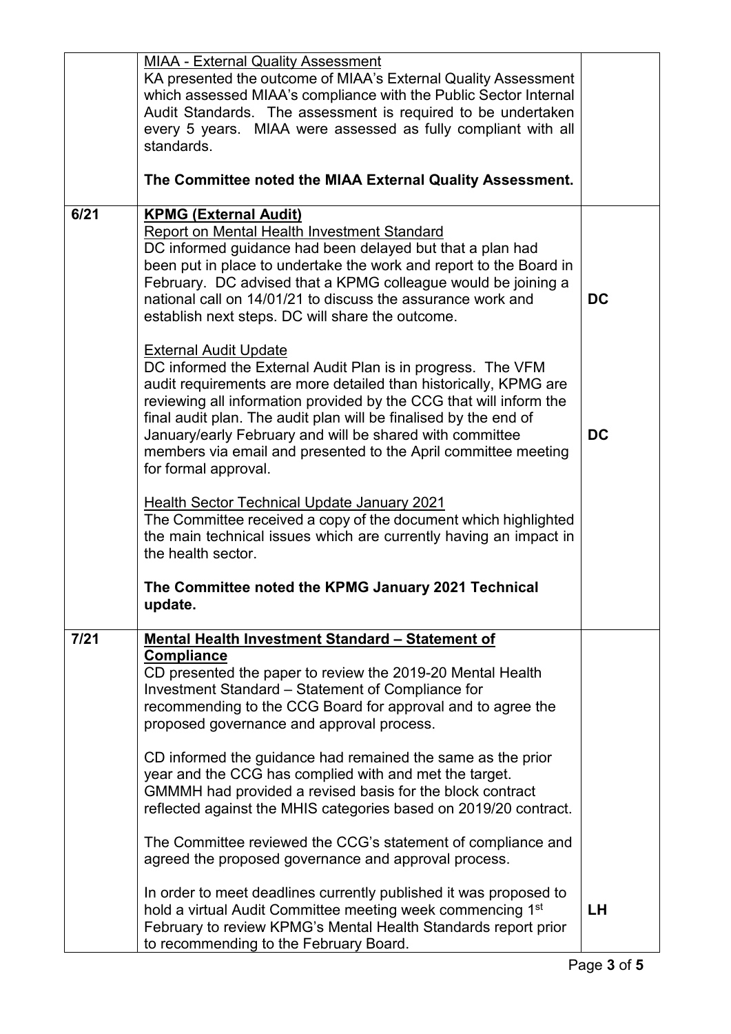|      | <b>MIAA - External Quality Assessment</b><br>KA presented the outcome of MIAA's External Quality Assessment<br>which assessed MIAA's compliance with the Public Sector Internal                                                                                                                                                                                                                                                                                 |           |
|------|-----------------------------------------------------------------------------------------------------------------------------------------------------------------------------------------------------------------------------------------------------------------------------------------------------------------------------------------------------------------------------------------------------------------------------------------------------------------|-----------|
|      | Audit Standards. The assessment is required to be undertaken<br>every 5 years. MIAA were assessed as fully compliant with all<br>standards.                                                                                                                                                                                                                                                                                                                     |           |
|      | The Committee noted the MIAA External Quality Assessment.                                                                                                                                                                                                                                                                                                                                                                                                       |           |
| 6/21 | <b>KPMG (External Audit)</b><br>Report on Mental Health Investment Standard<br>DC informed guidance had been delayed but that a plan had<br>been put in place to undertake the work and report to the Board in<br>February. DC advised that a KPMG colleague would be joining a<br>national call on 14/01/21 to discuss the assurance work and<br>establish next steps. DC will share the outcome.                                                              | <b>DC</b> |
|      | <b>External Audit Update</b><br>DC informed the External Audit Plan is in progress. The VFM<br>audit requirements are more detailed than historically, KPMG are<br>reviewing all information provided by the CCG that will inform the<br>final audit plan. The audit plan will be finalised by the end of<br>January/early February and will be shared with committee<br>members via email and presented to the April committee meeting<br>for formal approval. | <b>DC</b> |
|      | <b>Health Sector Technical Update January 2021</b><br>The Committee received a copy of the document which highlighted<br>the main technical issues which are currently having an impact in<br>the health sector.                                                                                                                                                                                                                                                |           |
|      | The Committee noted the KPMG January 2021 Technical<br>update.                                                                                                                                                                                                                                                                                                                                                                                                  |           |
| 7/21 | Mental Health Investment Standard - Statement of<br><b>Compliance</b><br>CD presented the paper to review the 2019-20 Mental Health<br>Investment Standard - Statement of Compliance for<br>recommending to the CCG Board for approval and to agree the<br>proposed governance and approval process.                                                                                                                                                            |           |
|      | CD informed the guidance had remained the same as the prior<br>year and the CCG has complied with and met the target.<br>GMMMH had provided a revised basis for the block contract<br>reflected against the MHIS categories based on 2019/20 contract.                                                                                                                                                                                                          |           |
|      | The Committee reviewed the CCG's statement of compliance and<br>agreed the proposed governance and approval process.                                                                                                                                                                                                                                                                                                                                            |           |
|      | In order to meet deadlines currently published it was proposed to<br>hold a virtual Audit Committee meeting week commencing 1 <sup>st</sup><br>February to review KPMG's Mental Health Standards report prior<br>to recommending to the February Board.                                                                                                                                                                                                         | LH        |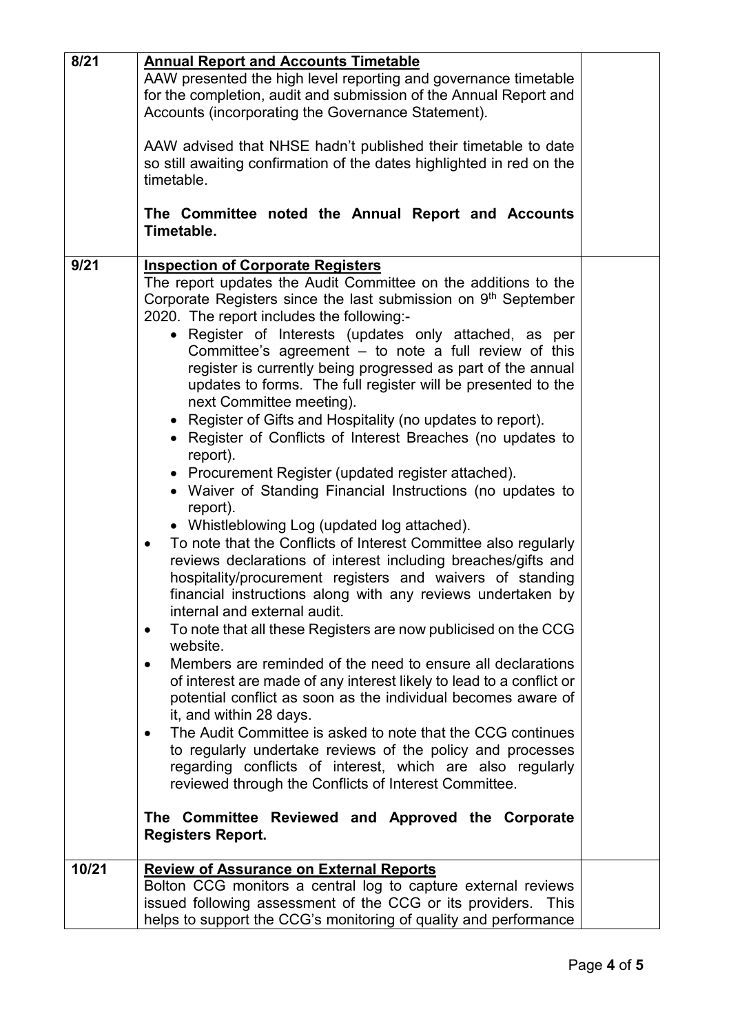| 8/21  | <b>Annual Report and Accounts Timetable</b>                                             |  |
|-------|-----------------------------------------------------------------------------------------|--|
|       | AAW presented the high level reporting and governance timetable                         |  |
|       | for the completion, audit and submission of the Annual Report and                       |  |
|       | Accounts (incorporating the Governance Statement).                                      |  |
|       | AAW advised that NHSE hadn't published their timetable to date                          |  |
|       | so still awaiting confirmation of the dates highlighted in red on the                   |  |
|       | timetable.                                                                              |  |
|       |                                                                                         |  |
|       | The Committee noted the Annual Report and Accounts                                      |  |
|       | Timetable.                                                                              |  |
| 9/21  | <b>Inspection of Corporate Registers</b>                                                |  |
|       | The report updates the Audit Committee on the additions to the                          |  |
|       | Corporate Registers since the last submission on 9 <sup>th</sup> September              |  |
|       | 2020. The report includes the following:-                                               |  |
|       | Register of Interests (updates only attached, as per                                    |  |
|       | Committee's agreement $-$ to note a full review of this                                 |  |
|       | register is currently being progressed as part of the annual                            |  |
|       | updates to forms. The full register will be presented to the                            |  |
|       | next Committee meeting).<br>• Register of Gifts and Hospitality (no updates to report). |  |
|       | • Register of Conflicts of Interest Breaches (no updates to                             |  |
|       | report).                                                                                |  |
|       | • Procurement Register (updated register attached).                                     |  |
|       | • Waiver of Standing Financial Instructions (no updates to                              |  |
|       | report).                                                                                |  |
|       | • Whistleblowing Log (updated log attached).                                            |  |
|       | To note that the Conflicts of Interest Committee also regularly<br>$\bullet$            |  |
|       | reviews declarations of interest including breaches/gifts and                           |  |
|       | hospitality/procurement registers and waivers of standing                               |  |
|       | financial instructions along with any reviews undertaken by                             |  |
|       | internal and external audit.                                                            |  |
|       | To note that all these Registers are now publicised on the CCG<br>٠<br>website.         |  |
|       | Members are reminded of the need to ensure all declarations<br>$\bullet$                |  |
|       | of interest are made of any interest likely to lead to a conflict or                    |  |
|       | potential conflict as soon as the individual becomes aware of                           |  |
|       | it, and within 28 days.                                                                 |  |
|       | The Audit Committee is asked to note that the CCG continues<br>$\bullet$                |  |
|       | to regularly undertake reviews of the policy and processes                              |  |
|       | regarding conflicts of interest, which are also regularly                               |  |
|       | reviewed through the Conflicts of Interest Committee.                                   |  |
|       | The Committee Reviewed and Approved the Corporate                                       |  |
|       | <b>Registers Report.</b>                                                                |  |
|       |                                                                                         |  |
| 10/21 | <b>Review of Assurance on External Reports</b>                                          |  |
|       | Bolton CCG monitors a central log to capture external reviews                           |  |
|       | issued following assessment of the CCG or its providers.<br><b>This</b>                 |  |
|       | helps to support the CCG's monitoring of quality and performance                        |  |